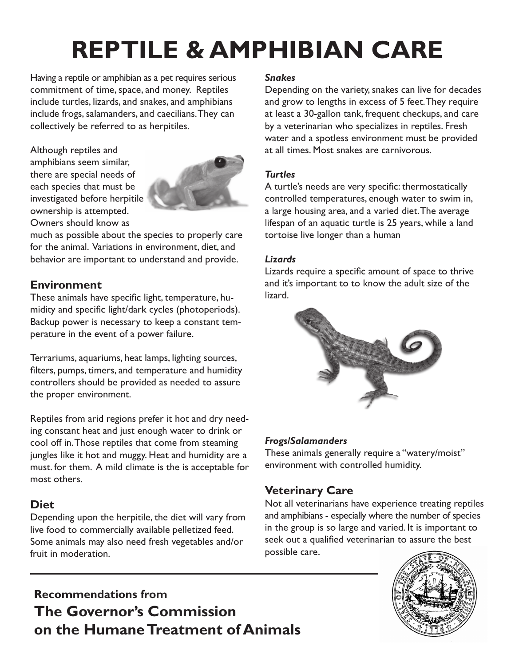# **REPTILE & AMPHIBIAN CARE**

Having a reptile or amphibian as a pet requires serious commitment of time, space, and money. Reptiles include turtles, lizards, and snakes, and amphibians include frogs, salamanders, and caecilians. They can collectively be referred to as herpitiles.

Although reptiles and amphibians seem similar, there are special needs of each species that must be investigated before herpitile ownership is attempted. Owners should know as



much as possible about the species to properly care for the animal. Variations in environment, diet, and behavior are important to understand and provide.

#### **Environment**

These animals have specific light, temperature, humidity and specific light/dark cycles (photoperiods). Backup power is necessary to keep a constant temperature in the event of a power failure.

Terrariums, aquariums, heat lamps, lighting sources, filters, pumps, timers, and temperature and humidity controllers should be provided as needed to assure the proper environment.

Reptiles from arid regions prefer it hot and dry needing constant heat and just enough water to drink or cool off in. Those reptiles that come from steaming jungles like it hot and muggy. Heat and humidity are a must. for them. A mild climate is the is acceptable for most others.

#### **Diet**

Depending upon the herpitile, the diet will vary from live food to commercially available pelletized feed. Some animals may also need fresh vegetables and/or fruit in moderation.

#### *Snakes*

Depending on the variety, snakes can live for decades and grow to lengths in excess of 5 feet. They require at least a 30-gallon tank, frequent checkups, and care by a veterinarian who specializes in reptiles. Fresh water and a spotless environment must be provided at all times. Most snakes are carnivorous.

#### *Turtles*

A turtle's needs are very specific: thermostatically controlled temperatures, enough water to swim in, a large housing area, and a varied diet. The average lifespan of an aquatic turtle is 25 years, while a land tortoise live longer than a human

#### *Lizards*

Lizards require a specific amount of space to thrive and it's important to to know the adult size of the lizard.



#### *Frogs/Salamanders*

These animals generally require a "watery/moist" environment with controlled humidity.

#### **Veterinary Care**

Not all veterinarians have experience treating reptiles and amphibians - especially where the number of species in the group is so large and varied. It is important to seek out a qualified veterinarian to assure the best possible care.

### **Recommendations from The Governor's Commission on the Humane Treatment of Animals**